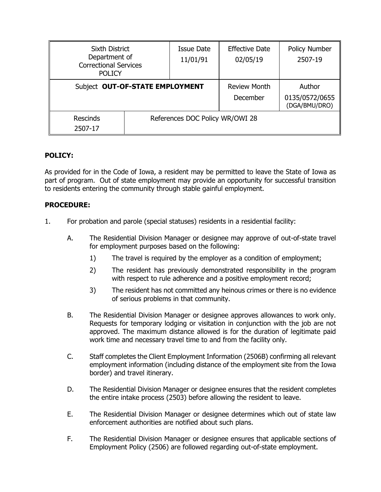| <b>Sixth District</b><br>Department of<br><b>Correctional Services</b><br><b>POLICY</b> |  | Issue Date<br>11/01/91          | <b>Effective Date</b><br>02/05/19 | Policy Number<br>2507-19                  |
|-----------------------------------------------------------------------------------------|--|---------------------------------|-----------------------------------|-------------------------------------------|
| Subject OUT-OF-STATE EMPLOYMENT                                                         |  |                                 | <b>Review Month</b><br>December   | Author<br>0135/0572/0655<br>(DGA/BMU/DRO) |
| <b>Rescinds</b><br>2507-17                                                              |  | References DOC Policy WR/OWI 28 |                                   |                                           |

# **POLICY:**

As provided for in the Code of Iowa, a resident may be permitted to leave the State of Iowa as part of program. Out of state employment may provide an opportunity for successful transition to residents entering the community through stable gainful employment.

## **PROCEDURE:**

- 1. For probation and parole (special statuses) residents in a residential facility:
	- A. The Residential Division Manager or designee may approve of out-of-state travel for employment purposes based on the following:
		- 1) The travel is required by the employer as a condition of employment;
		- 2) The resident has previously demonstrated responsibility in the program with respect to rule adherence and a positive employment record;
		- 3) The resident has not committed any heinous crimes or there is no evidence of serious problems in that community.
	- B. The Residential Division Manager or designee approves allowances to work only. Requests for temporary lodging or visitation in conjunction with the job are not approved. The maximum distance allowed is for the duration of legitimate paid work time and necessary travel time to and from the facility only.
	- C. Staff completes the Client Employment Information (2506B) confirming all relevant employment information (including distance of the employment site from the Iowa border) and travel itinerary.
	- D. The Residential Division Manager or designee ensures that the resident completes the entire intake process (2503) before allowing the resident to leave.
	- E. The Residential Division Manager or designee determines which out of state law enforcement authorities are notified about such plans.
	- F. The Residential Division Manager or designee ensures that applicable sections of Employment Policy (2506) are followed regarding out-of-state employment.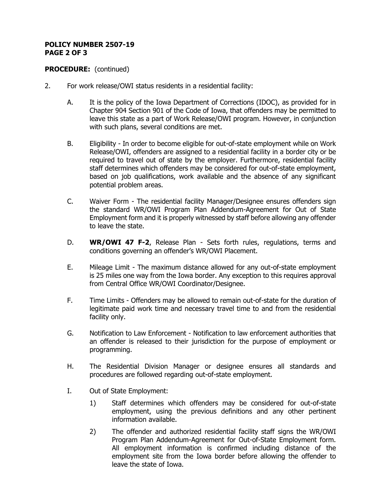# **POLICY NUMBER 2507-19 PAGE 2 OF 3**

# **PROCEDURE:** (continued)

- 2. For work release/OWI status residents in a residential facility:
	- A. It is the policy of the Iowa Department of Corrections (IDOC), as provided for in Chapter 904 Section 901 of the Code of Iowa, that offenders may be permitted to leave this state as a part of Work Release/OWI program. However, in conjunction with such plans, several conditions are met.
	- B. Eligibility In order to become eligible for out-of-state employment while on Work Release/OWI, offenders are assigned to a residential facility in a border city or be required to travel out of state by the employer. Furthermore, residential facility staff determines which offenders may be considered for out-of-state employment, based on job qualifications, work available and the absence of any significant potential problem areas.
	- C. Waiver Form The residential facility Manager/Designee ensures offenders sign the standard WR/OWI Program Plan Addendum-Agreement for Out of State Employment form and it is properly witnessed by staff before allowing any offender to leave the state.
	- D. **WR/OWI 47 F-2**, Release Plan Sets forth rules, regulations, terms and conditions governing an offender's WR/OWI Placement.
	- E. Mileage Limit The maximum distance allowed for any out-of-state employment is 25 miles one way from the Iowa border. Any exception to this requires approval from Central Office WR/OWI Coordinator/Designee.
	- F. Time Limits Offenders may be allowed to remain out-of-state for the duration of legitimate paid work time and necessary travel time to and from the residential facility only.
	- G. Notification to Law Enforcement Notification to law enforcement authorities that an offender is released to their jurisdiction for the purpose of employment or programming.
	- H. The Residential Division Manager or designee ensures all standards and procedures are followed regarding out-of-state employment.
	- I. Out of State Employment:
		- 1) Staff determines which offenders may be considered for out-of-state employment, using the previous definitions and any other pertinent information available.
		- 2) The offender and authorized residential facility staff signs the WR/OWI Program Plan Addendum-Agreement for Out-of-State Employment form. All employment information is confirmed including distance of the employment site from the Iowa border before allowing the offender to leave the state of Iowa.